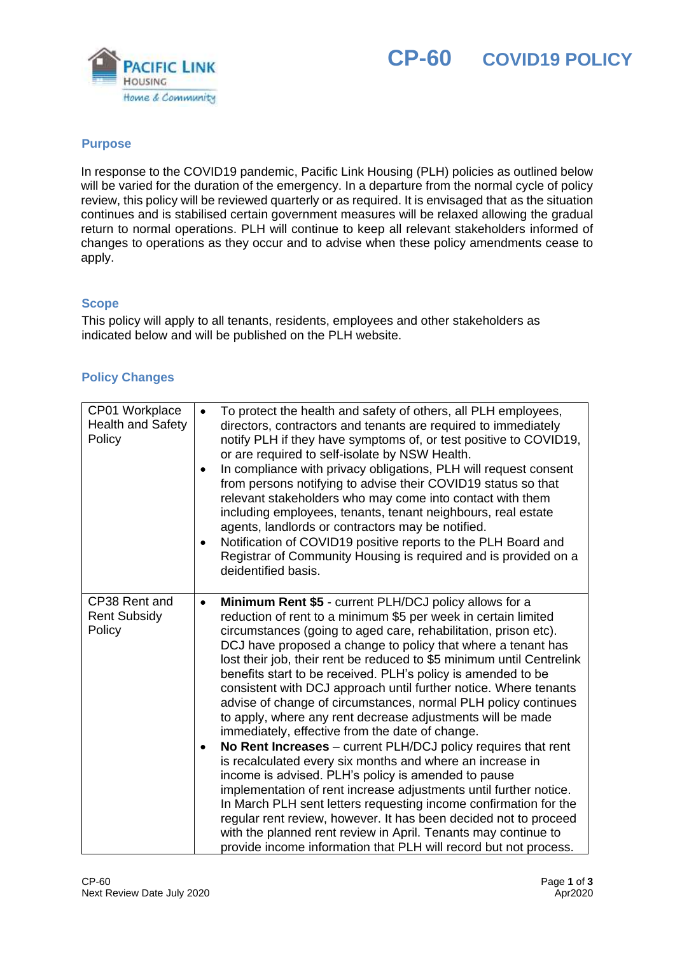



## **Purpose**

In response to the COVID19 pandemic, Pacific Link Housing (PLH) policies as outlined below will be varied for the duration of the emergency. In a departure from the normal cycle of policy review, this policy will be reviewed quarterly or as required. It is envisaged that as the situation continues and is stabilised certain government measures will be relaxed allowing the gradual return to normal operations. PLH will continue to keep all relevant stakeholders informed of changes to operations as they occur and to advise when these policy amendments cease to apply.

## **Scope**

This policy will apply to all tenants, residents, employees and other stakeholders as indicated below and will be published on the PLH website.

## **Policy Changes**

| CP01 Workplace<br><b>Health and Safety</b><br>Policy | To protect the health and safety of others, all PLH employees,<br>$\bullet$<br>directors, contractors and tenants are required to immediately<br>notify PLH if they have symptoms of, or test positive to COVID19,<br>or are required to self-isolate by NSW Health.<br>In compliance with privacy obligations, PLH will request consent<br>$\bullet$<br>from persons notifying to advise their COVID19 status so that<br>relevant stakeholders who may come into contact with them<br>including employees, tenants, tenant neighbours, real estate<br>agents, landlords or contractors may be notified.<br>Notification of COVID19 positive reports to the PLH Board and<br>$\bullet$<br>Registrar of Community Housing is required and is provided on a<br>deidentified basis.                                                                                                                                                                                                                                                                                                                                                                                                                                              |
|------------------------------------------------------|-------------------------------------------------------------------------------------------------------------------------------------------------------------------------------------------------------------------------------------------------------------------------------------------------------------------------------------------------------------------------------------------------------------------------------------------------------------------------------------------------------------------------------------------------------------------------------------------------------------------------------------------------------------------------------------------------------------------------------------------------------------------------------------------------------------------------------------------------------------------------------------------------------------------------------------------------------------------------------------------------------------------------------------------------------------------------------------------------------------------------------------------------------------------------------------------------------------------------------|
| CP38 Rent and<br><b>Rent Subsidy</b><br>Policy       | Minimum Rent \$5 - current PLH/DCJ policy allows for a<br>$\bullet$<br>reduction of rent to a minimum \$5 per week in certain limited<br>circumstances (going to aged care, rehabilitation, prison etc).<br>DCJ have proposed a change to policy that where a tenant has<br>lost their job, their rent be reduced to \$5 minimum until Centrelink<br>benefits start to be received. PLH's policy is amended to be<br>consistent with DCJ approach until further notice. Where tenants<br>advise of change of circumstances, normal PLH policy continues<br>to apply, where any rent decrease adjustments will be made<br>immediately, effective from the date of change.<br>No Rent Increases - current PLH/DCJ policy requires that rent<br>$\bullet$<br>is recalculated every six months and where an increase in<br>income is advised. PLH's policy is amended to pause<br>implementation of rent increase adjustments until further notice.<br>In March PLH sent letters requesting income confirmation for the<br>regular rent review, however. It has been decided not to proceed<br>with the planned rent review in April. Tenants may continue to<br>provide income information that PLH will record but not process. |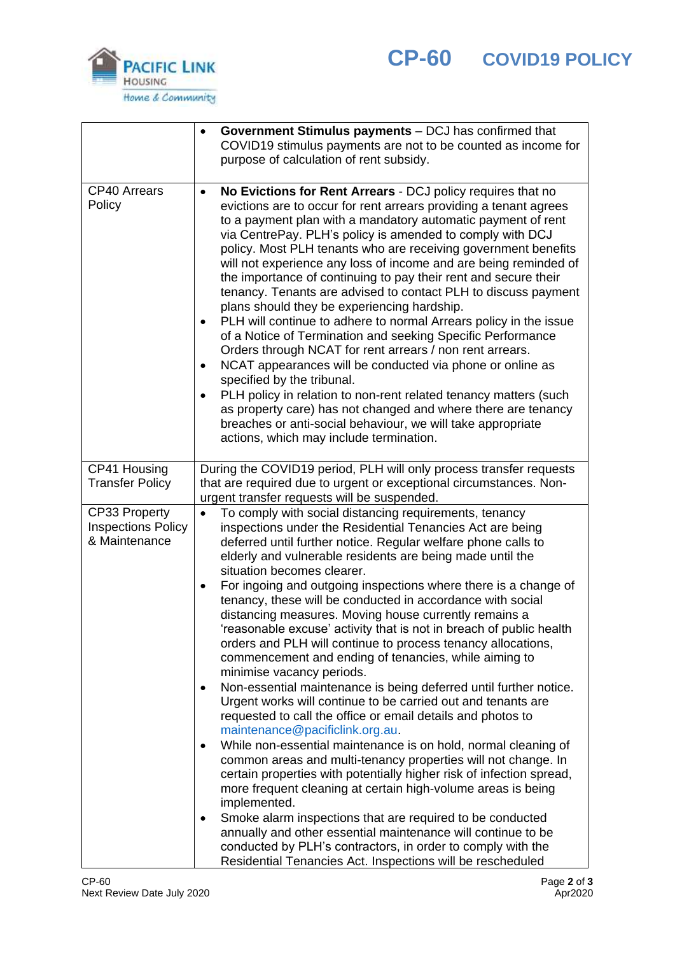



|                                                             | Government Stimulus payments - DCJ has confirmed that<br>COVID19 stimulus payments are not to be counted as income for<br>purpose of calculation of rent subsidy.                                                                                                                                                                                                                                                                                                                                                                                                                                                                                                                                                                                                                                                                                                                                                                                                                                                                                                                                                                                           |
|-------------------------------------------------------------|-------------------------------------------------------------------------------------------------------------------------------------------------------------------------------------------------------------------------------------------------------------------------------------------------------------------------------------------------------------------------------------------------------------------------------------------------------------------------------------------------------------------------------------------------------------------------------------------------------------------------------------------------------------------------------------------------------------------------------------------------------------------------------------------------------------------------------------------------------------------------------------------------------------------------------------------------------------------------------------------------------------------------------------------------------------------------------------------------------------------------------------------------------------|
| <b>CP40 Arrears</b><br>Policy                               | No Evictions for Rent Arrears - DCJ policy requires that no<br>evictions are to occur for rent arrears providing a tenant agrees<br>to a payment plan with a mandatory automatic payment of rent<br>via CentrePay. PLH's policy is amended to comply with DCJ<br>policy. Most PLH tenants who are receiving government benefits<br>will not experience any loss of income and are being reminded of<br>the importance of continuing to pay their rent and secure their<br>tenancy. Tenants are advised to contact PLH to discuss payment<br>plans should they be experiencing hardship.<br>PLH will continue to adhere to normal Arrears policy in the issue<br>$\bullet$<br>of a Notice of Termination and seeking Specific Performance<br>Orders through NCAT for rent arrears / non rent arrears.<br>NCAT appearances will be conducted via phone or online as<br>$\bullet$<br>specified by the tribunal.<br>PLH policy in relation to non-rent related tenancy matters (such<br>as property care) has not changed and where there are tenancy<br>breaches or anti-social behaviour, we will take appropriate<br>actions, which may include termination. |
| CP41 Housing<br><b>Transfer Policy</b>                      | During the COVID19 period, PLH will only process transfer requests<br>that are required due to urgent or exceptional circumstances. Non-<br>urgent transfer requests will be suspended.                                                                                                                                                                                                                                                                                                                                                                                                                                                                                                                                                                                                                                                                                                                                                                                                                                                                                                                                                                     |
| CP33 Property<br><b>Inspections Policy</b><br>& Maintenance | To comply with social distancing requirements, tenancy<br>$\bullet$<br>inspections under the Residential Tenancies Act are being<br>deferred until further notice. Regular welfare phone calls to<br>elderly and vulnerable residents are being made until the<br>situation becomes clearer.                                                                                                                                                                                                                                                                                                                                                                                                                                                                                                                                                                                                                                                                                                                                                                                                                                                                |
|                                                             | For ingoing and outgoing inspections where there is a change of<br>tenancy, these will be conducted in accordance with social<br>distancing measures. Moving house currently remains a<br>'reasonable excuse' activity that is not in breach of public health<br>orders and PLH will continue to process tenancy allocations,<br>commencement and ending of tenancies, while aiming to<br>minimise vacancy periods.                                                                                                                                                                                                                                                                                                                                                                                                                                                                                                                                                                                                                                                                                                                                         |
|                                                             | Non-essential maintenance is being deferred until further notice.<br>٠<br>Urgent works will continue to be carried out and tenants are<br>requested to call the office or email details and photos to<br>maintenance@pacificlink.org.au.                                                                                                                                                                                                                                                                                                                                                                                                                                                                                                                                                                                                                                                                                                                                                                                                                                                                                                                    |
|                                                             | While non-essential maintenance is on hold, normal cleaning of<br>common areas and multi-tenancy properties will not change. In<br>certain properties with potentially higher risk of infection spread,<br>more frequent cleaning at certain high-volume areas is being<br>implemented.                                                                                                                                                                                                                                                                                                                                                                                                                                                                                                                                                                                                                                                                                                                                                                                                                                                                     |
|                                                             | Smoke alarm inspections that are required to be conducted<br>$\bullet$<br>annually and other essential maintenance will continue to be<br>conducted by PLH's contractors, in order to comply with the<br>Residential Tenancies Act. Inspections will be rescheduled                                                                                                                                                                                                                                                                                                                                                                                                                                                                                                                                                                                                                                                                                                                                                                                                                                                                                         |